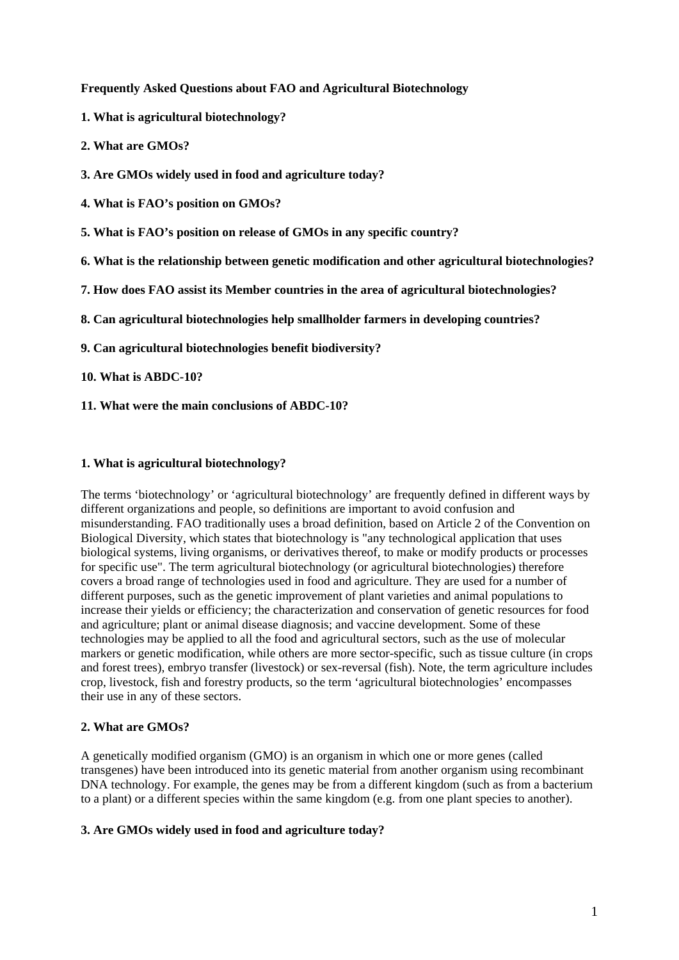### **Frequently Asked Questions about FAO and Agricultural Biotechnology**

- **1. What is agricultural biotechnology?**
- **2. What are GMOs?**
- **3. Are GMOs widely used in food and agriculture today?**
- **4. What is FAO's position on GMOs?**
- **5. What is FAO's position on release of GMOs in any specific country?**
- **6. What is the relationship between genetic modification and other agricultural biotechnologies?**
- **7. How does FAO assist its Member countries in the area of agricultural biotechnologies?**
- **8. Can agricultural biotechnologies help smallholder farmers in developing countries?**
- **9. Can agricultural biotechnologies benefit biodiversity?**
- **10. What is ABDC-10?**
- **11. What were the main conclusions of ABDC-10?**

### **1. What is agricultural biotechnology?**

The terms 'biotechnology' or 'agricultural biotechnology' are frequently defined in different ways by different organizations and people, so definitions are important to avoid confusion and misunderstanding. FAO traditionally uses a broad definition, based on Article 2 of the Convention on Biological Diversity, which states that biotechnology is "any technological application that uses biological systems, living organisms, or derivatives thereof, to make or modify products or processes for specific use". The term agricultural biotechnology (or agricultural biotechnologies) therefore covers a broad range of technologies used in food and agriculture. They are used for a number of different purposes, such as the genetic improvement of plant varieties and animal populations to increase their yields or efficiency; the characterization and conservation of genetic resources for food and agriculture; plant or animal disease diagnosis; and vaccine development. Some of these technologies may be applied to all the food and agricultural sectors, such as the use of molecular markers or genetic modification, while others are more sector-specific, such as tissue culture (in crops and forest trees), embryo transfer (livestock) or sex-reversal (fish). Note, the term agriculture includes crop, livestock, fish and forestry products, so the term 'agricultural biotechnologies' encompasses their use in any of these sectors.

#### **2. What are GMOs?**

A genetically modified organism (GMO) is an organism in which one or more genes (called transgenes) have been introduced into its genetic material from another organism using recombinant DNA technology. For example, the genes may be from a different kingdom (such as from a bacterium to a plant) or a different species within the same kingdom (e.g. from one plant species to another).

#### **3. Are GMOs widely used in food and agriculture today?**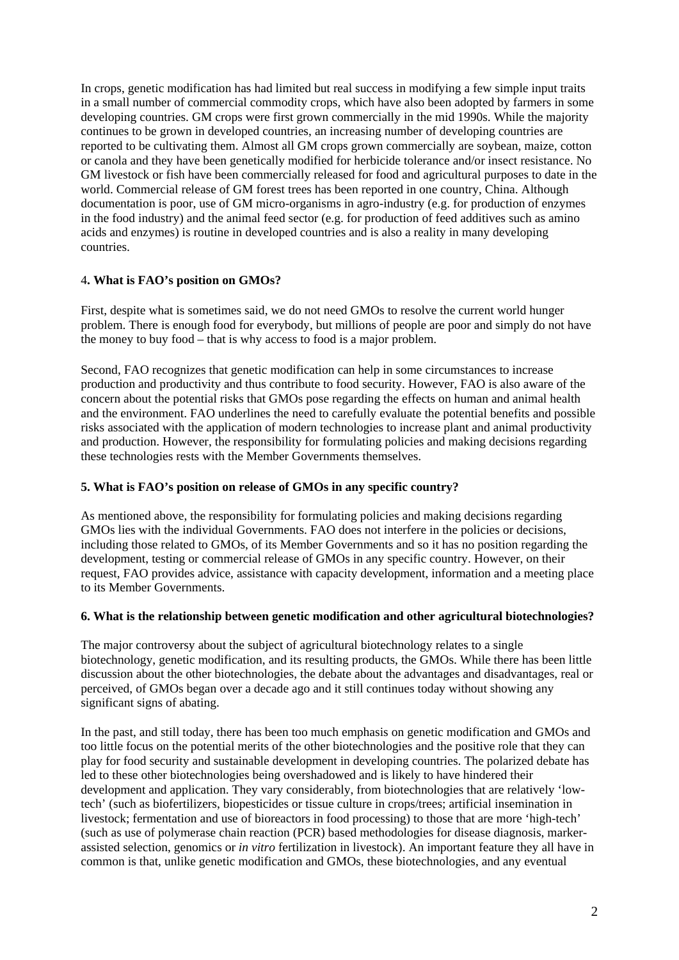In crops, genetic modification has had limited but real success in modifying a few simple input traits in a small number of commercial commodity crops, which have also been adopted by farmers in some developing countries. GM crops were first grown commercially in the mid 1990s. While the majority continues to be grown in developed countries, an increasing number of developing countries are reported to be cultivating them. Almost all GM crops grown commercially are soybean, maize, cotton or canola and they have been genetically modified for herbicide tolerance and/or insect resistance. No GM livestock or fish have been commercially released for food and agricultural purposes to date in the world. Commercial release of GM forest trees has been reported in one country, China. Although documentation is poor, use of GM micro-organisms in agro-industry (e.g. for production of enzymes in the food industry) and the animal feed sector (e.g. for production of feed additives such as amino acids and enzymes) is routine in developed countries and is also a reality in many developing countries.

# 4**. What is FAO's position on GMOs?**

First, despite what is sometimes said, we do not need GMOs to resolve the current world hunger problem. There is enough food for everybody, but millions of people are poor and simply do not have the money to buy food – that is why access to food is a major problem.

Second, FAO recognizes that genetic modification can help in some circumstances to increase production and productivity and thus contribute to food security. However, FAO is also aware of the concern about the potential risks that GMOs pose regarding the effects on human and animal health and the environment. FAO underlines the need to carefully evaluate the potential benefits and possible risks associated with the application of modern technologies to increase plant and animal productivity and production. However, the responsibility for formulating policies and making decisions regarding these technologies rests with the Member Governments themselves.

### **5. What is FAO's position on release of GMOs in any specific country?**

As mentioned above, the responsibility for formulating policies and making decisions regarding GMOs lies with the individual Governments. FAO does not interfere in the policies or decisions, including those related to GMOs, of its Member Governments and so it has no position regarding the development, testing or commercial release of GMOs in any specific country. However, on their request, FAO provides advice, assistance with capacity development, information and a meeting place to its Member Governments.

#### **6. What is the relationship between genetic modification and other agricultural biotechnologies?**

The major controversy about the subject of agricultural biotechnology relates to a single biotechnology, genetic modification, and its resulting products, the GMOs. While there has been little discussion about the other biotechnologies, the debate about the advantages and disadvantages, real or perceived, of GMOs began over a decade ago and it still continues today without showing any significant signs of abating.

In the past, and still today, there has been too much emphasis on genetic modification and GMOs and too little focus on the potential merits of the other biotechnologies and the positive role that they can play for food security and sustainable development in developing countries. The polarized debate has led to these other biotechnologies being overshadowed and is likely to have hindered their development and application. They vary considerably, from biotechnologies that are relatively 'lowtech' (such as biofertilizers, biopesticides or tissue culture in crops/trees; artificial insemination in livestock; fermentation and use of bioreactors in food processing) to those that are more 'high-tech' (such as use of polymerase chain reaction (PCR) based methodologies for disease diagnosis, markerassisted selection, genomics or *in vitro* fertilization in livestock). An important feature they all have in common is that, unlike genetic modification and GMOs, these biotechnologies, and any eventual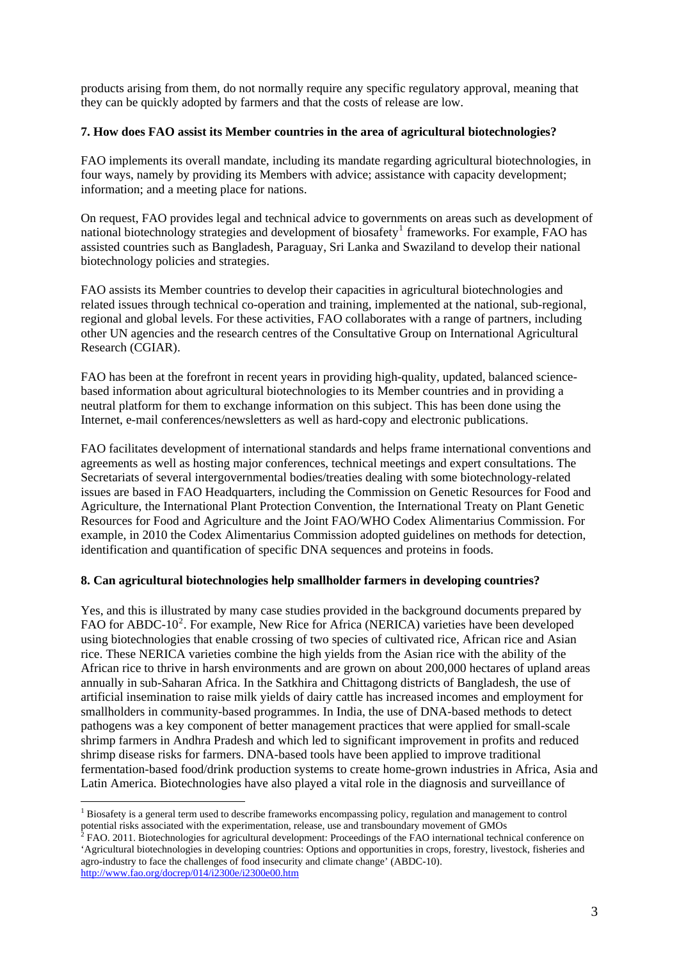products arising from them, do not normally require any specific regulatory approval, meaning that they can be quickly adopted by farmers and that the costs of release are low.

### **7. How does FAO assist its Member countries in the area of agricultural biotechnologies?**

FAO implements its overall mandate, including its mandate regarding agricultural biotechnologies, in four ways, namely by providing its Members with advice; assistance with capacity development; information; and a meeting place for nations.

On request, FAO provides legal and technical advice to governments on areas such as development of national biotechnology strategies and development of biosafety<sup>[1](#page-2-0)</sup> frameworks. For example, FAO has assisted countries such as Bangladesh, Paraguay, Sri Lanka and Swaziland to develop their national biotechnology policies and strategies.

FAO assists its Member countries to develop their capacities in agricultural biotechnologies and related issues through technical co-operation and training, implemented at the national, sub-regional, regional and global levels. For these activities, FAO collaborates with a range of partners, including other UN agencies and the research centres of the Consultative Group on International Agricultural Research (CGIAR).

FAO has been at the forefront in recent years in providing high-quality, updated, balanced sciencebased information about agricultural biotechnologies to its Member countries and in providing a neutral platform for them to exchange information on this subject. This has been done using the Internet, e-mail conferences/newsletters as well as hard-copy and electronic publications.

FAO facilitates development of international standards and helps frame international conventions and agreements as well as hosting major conferences, technical meetings and expert consultations. The Secretariats of several intergovernmental bodies/treaties dealing with some biotechnology-related issues are based in FAO Headquarters, including the Commission on Genetic Resources for Food and Agriculture, the International Plant Protection Convention, the International Treaty on Plant Genetic Resources for Food and Agriculture and the Joint FAO/WHO Codex Alimentarius Commission. For example, in 2010 the Codex Alimentarius Commission adopted guidelines on methods for detection, identification and quantification of specific DNA sequences and proteins in foods.

# **8. Can agricultural biotechnologies help smallholder farmers in developing countries?**

Yes, and this is illustrated by many case studies provided in the background documents prepared by FAO for ABDC-10<sup>[2](#page-2-1)</sup>. For example, New Rice for Africa (NERICA) varieties have been developed using biotechnologies that enable crossing of two species of cultivated rice, African rice and Asian rice. These NERICA varieties combine the high yields from the Asian rice with the ability of the African rice to thrive in harsh environments and are grown on about 200,000 hectares of upland areas annually in sub-Saharan Africa. In the Satkhira and Chittagong districts of Bangladesh, the use of artificial insemination to raise milk yields of dairy cattle has increased incomes and employment for smallholders in community-based programmes. In India, the use of DNA-based methods to detect pathogens was a key component of better management practices that were applied for small-scale shrimp farmers in Andhra Pradesh and which led to significant improvement in profits and reduced shrimp disease risks for farmers. DNA-based tools have been applied to improve traditional fermentation-based food/drink production systems to create home-grown industries in Africa, Asia and Latin America. Biotechnologies have also played a vital role in the diagnosis and surveillance of

1

<span id="page-2-0"></span><sup>&</sup>lt;sup>1</sup> Biosafety is a general term used to describe frameworks encompassing policy, regulation and management to control potential risks associated with the experimentation, release, use and transboundary movement of GMOs<br><sup>2</sup> FAO. 2011. Biotechnologies for agricultural development: Proceedings of the FAO international technical conference on

<span id="page-2-1"></span><sup>&#</sup>x27;Agricultural biotechnologies in developing countries: Options and opportunities in crops, forestry, livestock, fisheries and agro-industry to face the challenges of food insecurit[y](http://www.fao.org/docrep/014/i2300e/i2300e00.htm) and climate change' (ABDC-10). <http://www.fao.org/docrep/014/i2300e/i2300e00.htm>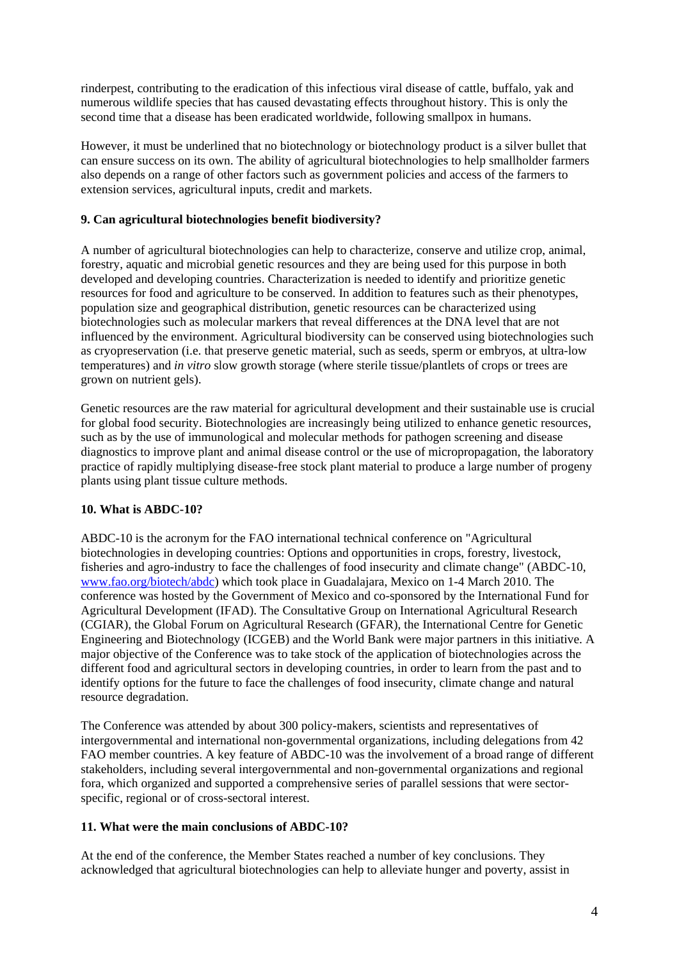rinderpest, contributing to the eradication of this infectious viral disease of cattle, buffalo, yak and numerous wildlife species that has caused devastating effects throughout history. This is only the second time that a disease has been eradicated worldwide, following smallpox in humans.

However, it must be underlined that no biotechnology or biotechnology product is a silver bullet that can ensure success on its own. The ability of agricultural biotechnologies to help smallholder farmers also depends on a range of other factors such as government policies and access of the farmers to extension services, agricultural inputs, credit and markets.

# **9. Can agricultural biotechnologies benefit biodiversity?**

A number of agricultural biotechnologies can help to characterize, conserve and utilize crop, animal, forestry, aquatic and microbial genetic resources and they are being used for this purpose in both developed and developing countries. Characterization is needed to identify and prioritize genetic resources for food and agriculture to be conserved. In addition to features such as their phenotypes, population size and geographical distribution, genetic resources can be characterized using biotechnologies such as molecular markers that reveal differences at the DNA level that are not influenced by the environment. Agricultural biodiversity can be conserved using biotechnologies such as cryopreservation (i.e. that preserve genetic material, such as seeds, sperm or embryos, at ultra-low temperatures) and *in vitro* slow growth storage (where sterile tissue/plantlets of crops or trees are grown on nutrient gels).

Genetic resources are the raw material for agricultural development and their sustainable use is crucial for global food security. Biotechnologies are increasingly being utilized to enhance genetic resources, such as by the use of immunological and molecular methods for pathogen screening and disease diagnostics to improve plant and animal disease control or the use of micropropagation, the laboratory practice of rapidly multiplying disease-free stock plant material to produce a large number of progeny plants using plant tissue culture methods.

# **10. What is ABDC-10?**

ABDC-10 is the acronym for the FAO international technical conference on "Agricultural biotechnologies in developing countries: Options and opportunities in crops, forestry, livestock, fisheries and agro-industry to face the challenges of food insecurity and climate change" (ABDC-10, [www.fao.org/biotech/abdc](http://www.fao.org/biotech/abdc)) which took place in Guadalajara, Mexico on 1-4 March 2010. The conference was hosted by the Government of Mexico and co-sponsored by the International Fund for Agricultural Development (IFAD). The Consultative Group on International Agricultural Research (CGIAR), the Global Forum on Agricultural Research (GFAR), the International Centre for Genetic Engineering and Biotechnology (ICGEB) and the World Bank were major partners in this initiative. A major objective of the Conference was to take stock of the application of biotechnologies across the different food and agricultural sectors in developing countries, in order to learn from the past and to identify options for the future to face the challenges of food insecurity, climate change and natural resource degradation.

The Conference was attended by about 300 policy-makers, scientists and representatives of intergovernmental and international non-governmental organizations, including delegations from 42 FAO member countries. A key feature of ABDC-10 was the involvement of a broad range of different stakeholders, including several intergovernmental and non-governmental organizations and regional fora, which organized and supported a comprehensive series of parallel sessions that were sectorspecific, regional or of cross-sectoral interest.

# **11. What were the main conclusions of ABDC-10?**

At the end of the conference, the Member States reached a number of key conclusions. They acknowledged that agricultural biotechnologies can help to alleviate hunger and poverty, assist in